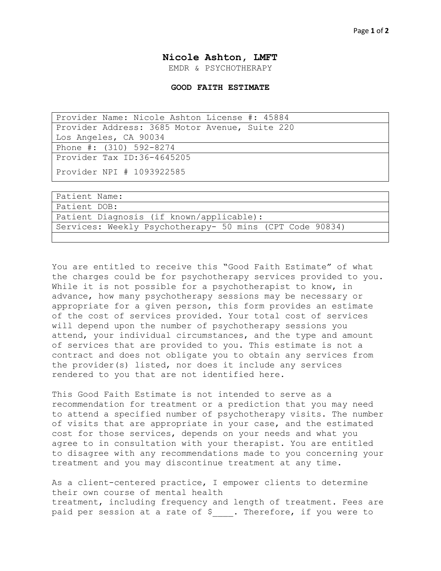## **Nicole Ashton, LMFT**

EMDR & PSYCHOTHERAPY

## **GOOD FAITH ESTIMATE**

| Provider Name: Nicole Ashton License #: 45884  |
|------------------------------------------------|
| Provider Address: 3685 Motor Avenue, Suite 220 |
| Los Angeles, CA 90034                          |
| Phone #: (310) 592-8274                        |
| Provider Tax ID:36-4645205                     |
| Provider NPI # 1093922585                      |

| Patient Name:                                            |
|----------------------------------------------------------|
| Patient DOB:                                             |
| Patient Diagnosis (if known/applicable):                 |
| Services: Weekly Psychotherapy- 50 mins (CPT Code 90834) |
|                                                          |

You are entitled to receive this "Good Faith Estimate" of what the charges could be for psychotherapy services provided to you. While it is not possible for a psychotherapist to know, in advance, how many psychotherapy sessions may be necessary or appropriate for a given person, this form provides an estimate of the cost of services provided. Your total cost of services will depend upon the number of psychotherapy sessions you attend, your individual circumstances, and the type and amount of services that are provided to you. This estimate is not a contract and does not obligate you to obtain any services from the provider(s) listed, nor does it include any services rendered to you that are not identified here.

This Good Faith Estimate is not intended to serve as a recommendation for treatment or a prediction that you may need to attend a specified number of psychotherapy visits. The number of visits that are appropriate in your case, and the estimated cost for those services, depends on your needs and what you agree to in consultation with your therapist. You are entitled to disagree with any recommendations made to you concerning your treatment and you may discontinue treatment at any time.

As a client-centered practice, I empower clients to determine their own course of mental health treatment, including frequency and length of treatment. Fees are paid per session at a rate of \$. Therefore, if you were to